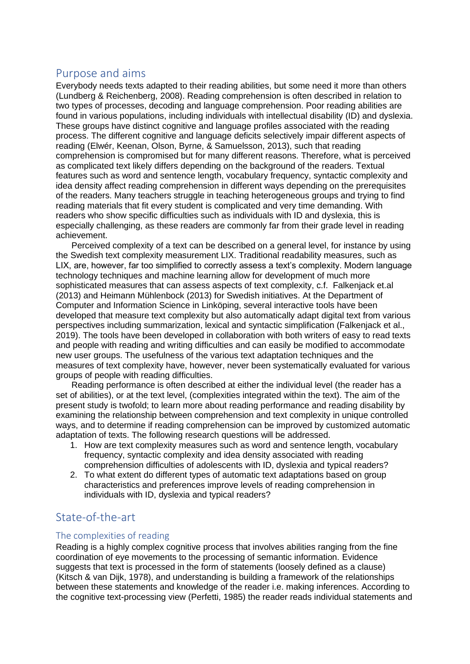# Purpose and aims

Everybody needs texts adapted to their reading abilities, but some need it more than others (Lundberg & Reichenberg, 2008). Reading comprehension is often described in relation to two types of processes, decoding and language comprehension. Poor reading abilities are found in various populations, including individuals with intellectual disability (ID) and dyslexia. These groups have distinct cognitive and language profiles associated with the reading process. The different cognitive and language deficits selectively impair different aspects of reading (Elwér, Keenan, Olson, Byrne, & Samuelsson, 2013), such that reading comprehension is compromised but for many different reasons. Therefore, what is perceived as complicated text likely differs depending on the background of the readers. Textual features such as word and sentence length, vocabulary frequency, syntactic complexity and idea density affect reading comprehension in different ways depending on the prerequisites of the readers. Many teachers struggle in teaching heterogeneous groups and trying to find reading materials that fit every student is complicated and very time demanding. With readers who show specific difficulties such as individuals with ID and dyslexia, this is especially challenging, as these readers are commonly far from their grade level in reading achievement.

Perceived complexity of a text can be described on a general level, for instance by using the Swedish text complexity measurement LIX. Traditional readability measures, such as LIX, are, however, far too simplified to correctly assess a text's complexity. Modern language technology techniques and machine learning allow for development of much more sophisticated measures that can assess aspects of text complexity, c.f. Falkenjack et.al (2013) and Heimann Mühlenbock (2013) for Swedish initiatives. At the Department of Computer and Information Science in Linköping, several interactive tools have been developed that measure text complexity but also automatically adapt digital text from various perspectives including summarization, lexical and syntactic simplification (Falkenjack et al., 2019). The tools have been developed in collaboration with both writers of easy to read texts and people with reading and writing difficulties and can easily be modified to accommodate new user groups. The usefulness of the various text adaptation techniques and the measures of text complexity have, however, never been systematically evaluated for various groups of people with reading difficulties.

Reading performance is often described at either the individual level (the reader has a set of abilities), or at the text level, (complexities integrated within the text). The aim of the present study is twofold; to learn more about reading performance and reading disability by examining the relationship between comprehension and text complexity in unique controlled ways, and to determine if reading comprehension can be improved by customized automatic adaptation of texts. The following research questions will be addressed.

- 1. How are text complexity measures such as word and sentence length, vocabulary frequency, syntactic complexity and idea density associated with reading comprehension difficulties of adolescents with ID, dyslexia and typical readers?
- 2. To what extent do different types of automatic text adaptations based on group characteristics and preferences improve levels of reading comprehension in individuals with ID, dyslexia and typical readers?

# State-of-the-art

### The complexities of reading

Reading is a highly complex cognitive process that involves abilities ranging from the fine coordination of eye movements to the processing of semantic information. Evidence suggests that text is processed in the form of statements (loosely defined as a clause) (Kitsch & van Dijk, 1978), and understanding is building a framework of the relationships between these statements and knowledge of the reader i.e. making inferences. According to the cognitive text-processing view (Perfetti, 1985) the reader reads individual statements and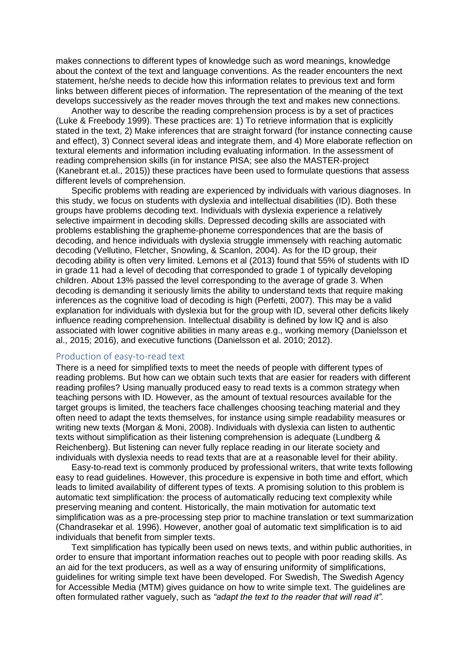makes connections to different types of knowledge such as word meanings, knowledge about the context of the text and language conventions. As the reader encounters the next statement, he/she needs to decide how this information relates to previous text and form links between different pieces of information. The representation of the meaning of the text develops successively as the reader moves through the text and makes new connections.

Another way to describe the reading comprehension process is by a set of practices (Luke & Freebody 1999). These practices are: 1) To retrieve information that is explicitly stated in the text, 2) Make inferences that are straight forward (for instance connecting cause and effect), 3) Connect several ideas and integrate them, and 4) More elaborate reflection on textural elements and information including evaluating information. In the assessment of reading comprehension skills (in for instance PISA; see also the MASTER-project (Kanebrant et.al., 2015)) these practices have been used to formulate questions that assess different levels of comprehension.

Specific problems with reading are experienced by individuals with various diagnoses. In this study, we focus on students with dyslexia and intellectual disabilities (ID). Both these groups have problems decoding text. Individuals with dyslexia experience a relatively selective impairment in decoding skills. Depressed decoding skills are associated with problems establishing the grapheme-phoneme correspondences that are the basis of decoding, and hence individuals with dyslexia struggle immensely with reaching automatic decoding (Vellutino, Fletcher, Snowling, & Scanlon, 2004). As for the ID group, their decoding ability is often very limited. Lemons et al (2013) found that 55% of students with ID in grade 11 had a level of decoding that corresponded to grade 1 of typically developing children. About 13% passed the level corresponding to the average of grade 3. When decoding is demanding it seriously limits the ability to understand texts that require making inferences as the cognitive load of decoding is high (Perfetti, 2007). This may be a valid explanation for individuals with dyslexia but for the group with ID, several other deficits likely influence reading comprehension. Intellectual disability is defined by low IQ and is also associated with lower cognitive abilities in many areas e.g., working memory (Danielsson et al., 2015; 2016), and executive functions (Danielsson et al. 2010; 2012).

#### Production of easy-to-read text

There is a need for simplified texts to meet the needs of people with different types of reading problems. But how can we obtain such texts that are easier for readers with different reading profiles? Using manually produced easy to read texts is a common strategy when teaching persons with ID. However, as the amount of textual resources available for the target groups is limited, the teachers face challenges choosing teaching material and they often need to adapt the texts themselves, for instance using simple readability measures or writing new texts (Morgan & Moni, 2008). Individuals with dyslexia can listen to authentic texts without simplification as their listening comprehension is adequate (Lundberg & Reichenberg). But listening can never fully replace reading in our literate society and individuals with dyslexia needs to read texts that are at a reasonable level for their ability.

Easy-to-read text is commonly produced by professional writers, that write texts following easy to read guidelines. However, this procedure is expensive in both time and effort, which leads to limited availability of different types of texts. A promising solution to this problem is automatic text simplification: the process of automatically reducing text complexity while preserving meaning and content. Historically, the main motivation for automatic text simplification was as a pre-processing step prior to machine translation or text summarization (Chandrasekar et al*.* 1996). However, another goal of automatic text simplification is to aid individuals that benefit from simpler texts.

Text simplification has typically been used on news texts, and within public authorities, in order to ensure that important information reaches out to people with poor reading skills. As an aid for the text producers, as well as a way of ensuring uniformity of simplifications, guidelines for writing simple text have been developed. For Swedish, The Swedish Agency for Accessible Media (MTM) gives guidance on how to write simple text. The guidelines are often formulated rather vaguely, such as *"adapt the text to the reader that will read it".*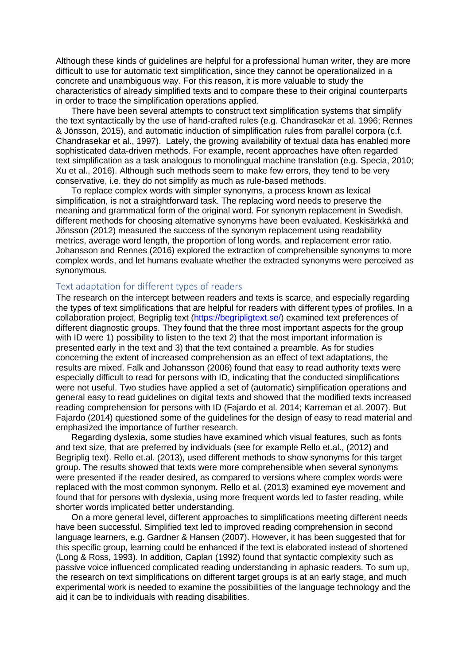Although these kinds of guidelines are helpful for a professional human writer, they are more difficult to use for automatic text simplification, since they cannot be operationalized in a concrete and unambiguous way. For this reason, it is more valuable to study the characteristics of already simplified texts and to compare these to their original counterparts in order to trace the simplification operations applied.

There have been several attempts to construct text simplification systems that simplify the text syntactically by the use of hand-crafted rules (e.g. Chandrasekar et al. 1996; Rennes & Jönsson, 2015), and automatic induction of simplification rules from parallel corpora (c.f. Chandrasekar et al., 1997). Lately, the growing availability of textual data has enabled more sophisticated data-driven methods. For example, recent approaches have often regarded text simplification as a task analogous to monolingual machine translation (e.g. Specia, 2010; Xu et al., 2016). Although such methods seem to make few errors, they tend to be very conservative, i.e. they do not simplify as much as rule-based methods.

To replace complex words with simpler synonyms, a process known as lexical simplification, is not a straightforward task. The replacing word needs to preserve the meaning and grammatical form of the original word. For synonym replacement in Swedish, different methods for choosing alternative synonyms have been evaluated. Keskisärkkä and Jönsson (2012) measured the success of the synonym replacement using readability metrics, average word length, the proportion of long words, and replacement error ratio. Johansson and Rennes (2016) explored the extraction of comprehensible synonyms to more complex words, and let humans evaluate whether the extracted synonyms were perceived as synonymous.

### Text adaptation for different types of readers

The research on the intercept between readers and texts is scarce, and especially regarding the types of text simplifications that are helpful for readers with different types of profiles. In a collaboration project, Begriplig text [\(https://begripligtext.se/\)](https://begripligtext.se/) examined text preferences of different diagnostic groups. They found that the three most important aspects for the group with ID were 1) possibility to listen to the text 2) that the most important information is presented early in the text and 3) that the text contained a preamble. As for studies concerning the extent of increased comprehension as an effect of text adaptations, the results are mixed. Falk and Johansson (2006) found that easy to read authority texts were especially difficult to read for persons with ID, indicating that the conducted simplifications were not useful. Two studies have applied a set of (automatic) simplification operations and general easy to read guidelines on digital texts and showed that the modified texts increased reading comprehension for persons with ID (Fajardo et al. 2014; Karreman et al. 2007). But Fajardo (2014) questioned some of the guidelines for the design of easy to read material and emphasized the importance of further research.

Regarding dyslexia, some studies have examined which visual features, such as fonts and text size, that are preferred by individuals (see for example Rello et.al., (2012) and Begriplig text). Rello et.al. (2013), used different methods to show synonyms for this target group. The results showed that texts were more comprehensible when several synonyms were presented if the reader desired, as compared to versions where complex words were replaced with the most common synonym. Rello et al. (2013) examined eye movement and found that for persons with dyslexia, using more frequent words led to faster reading, while shorter words implicated better understanding.

On a more general level, different approaches to simplifications meeting different needs have been successful. Simplified text led to improved reading comprehension in second language learners, e.g. Gardner & Hansen (2007). However, it has been suggested that for this specific group, learning could be enhanced if the text is elaborated instead of shortened (Long & Ross, 1993). In addition, Caplan (1992) found that syntactic complexity such as passive voice influenced complicated reading understanding in aphasic readers. To sum up, the research on text simplifications on different target groups is at an early stage, and much experimental work is needed to examine the possibilities of the language technology and the aid it can be to individuals with reading disabilities.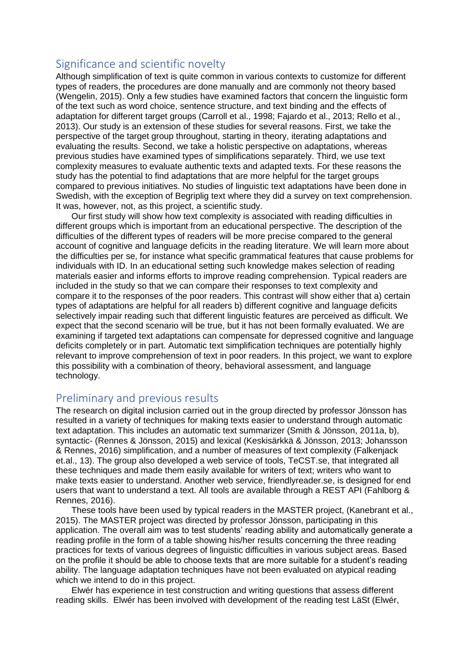# Significance and scientific novelty

Although simplification of text is quite common in various contexts to customize for different types of readers, the procedures are done manually and are commonly not theory based (Wengelin, 2015). Only a few studies have examined factors that concern the linguistic form of the text such as word choice, sentence structure, and text binding and the effects of adaptation for different target groups (Carroll et al., 1998; Fajardo et al., 2013; Rello et al., 2013). Our study is an extension of these studies for several reasons. First, we take the perspective of the target group throughout, starting in theory, iterating adaptations and evaluating the results. Second, we take a holistic perspective on adaptations, whereas previous studies have examined types of simplifications separately. Third, we use text complexity measures to evaluate authentic texts and adapted texts. For these reasons the study has the potential to find adaptations that are more helpful for the target groups compared to previous initiatives. No studies of linguistic text adaptations have been done in Swedish, with the exception of Begriplig text where they did a survey on text comprehension. It was, however, not, as this project, a scientific study.

Our first study will show how text complexity is associated with reading difficulties in different groups which is important from an educational perspective. The description of the difficulties of the different types of readers will be more precise compared to the general account of cognitive and language deficits in the reading literature. We will learn more about the difficulties per se, for instance what specific grammatical features that cause problems for individuals with ID. In an educational setting such knowledge makes selection of reading materials easier and informs efforts to improve reading comprehension. Typical readers are included in the study so that we can compare their responses to text complexity and compare it to the responses of the poor readers. This contrast will show either that a) certain types of adaptations are helpful for all readers b) different cognitive and language deficits selectively impair reading such that different linguistic features are perceived as difficult. We expect that the second scenario will be true, but it has not been formally evaluated. We are examining if targeted text adaptations can compensate for depressed cognitive and language deficits completely or in part. Automatic text simplification techniques are potentially highly relevant to improve comprehension of text in poor readers. In this project, we want to explore this possibility with a combination of theory, behavioral assessment, and language technology.

# Preliminary and previous results

The research on digital inclusion carried out in the group directed by professor Jönsson has resulted in a variety of techniques for making texts easier to understand through automatic text adaptation. This includes an automatic text summarizer (Smith & Jönsson, 2011a, b), syntactic- (Rennes & Jönsson, 2015) and lexical (Keskisärkkä & Jönsson, 2013; Johansson & Rennes, 2016) simplification, and a number of measures of text complexity (Falkenjack et.al., 13). The group also developed a web service of tools, TeCST.se, that integrated all these techniques and made them easily available for writers of text; writers who want to make texts easier to understand. Another web service, friendlyreader.se, is designed for end users that want to understand a text. All tools are available through a REST API (Fahlborg & Rennes, 2016).

These tools have been used by typical readers in the MASTER project, (Kanebrant et al., 2015). The MASTER project was directed by professor Jönsson, participating in this application. The overall aim was to test students' reading ability and automatically generate a reading profile in the form of a table showing his/her results concerning the three reading practices for texts of various degrees of linguistic difficulties in various subject areas. Based on the profile it should be able to choose texts that are more suitable for a student's reading ability. The language adaptation techniques have not been evaluated on atypical reading which we intend to do in this project.

Elwér has experience in test construction and writing questions that assess different reading skills. Elwér has been involved with development of the reading test LäSt (Elwér,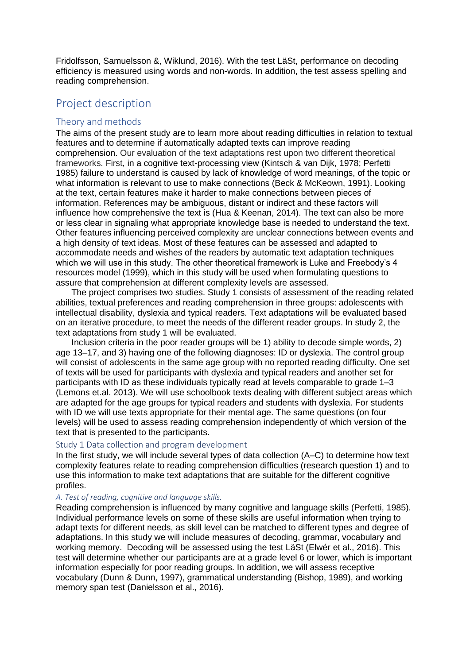Fridolfsson, Samuelsson &, Wiklund, 2016). With the test LäSt, performance on decoding efficiency is measured using words and non-words. In addition, the test assess spelling and reading comprehension.

# Project description

### Theory and methods

The aims of the present study are to learn more about reading difficulties in relation to textual features and to determine if automatically adapted texts can improve reading comprehension. Our evaluation of the text adaptations rest upon two different theoretical frameworks. First, in a cognitive text-processing view (Kintsch & van Dijk, 1978; Perfetti 1985) failure to understand is caused by lack of knowledge of word meanings, of the topic or what information is relevant to use to make connections (Beck & McKeown, 1991). Looking at the text, certain features make it harder to make connections between pieces of information. References may be ambiguous, distant or indirect and these factors will influence how comprehensive the text is (Hua & Keenan, 2014). The text can also be more or less clear in signaling what appropriate knowledge base is needed to understand the text. Other features influencing perceived complexity are unclear connections between events and a high density of text ideas. Most of these features can be assessed and adapted to accommodate needs and wishes of the readers by automatic text adaptation techniques which we will use in this study. The other theoretical framework is Luke and Freebody's 4 resources model (1999), which in this study will be used when formulating questions to assure that comprehension at different complexity levels are assessed.

The project comprises two studies. Study 1 consists of assessment of the reading related abilities, textual preferences and reading comprehension in three groups: adolescents with intellectual disability, dyslexia and typical readers. Text adaptations will be evaluated based on an iterative procedure, to meet the needs of the different reader groups. In study 2, the text adaptations from study 1 will be evaluated.

Inclusion criteria in the poor reader groups will be 1) ability to decode simple words, 2) age 13–17, and 3) having one of the following diagnoses: ID or dyslexia. The control group will consist of adolescents in the same age group with no reported reading difficulty. One set of texts will be used for participants with dyslexia and typical readers and another set for participants with ID as these individuals typically read at levels comparable to grade 1–3 (Lemons et.al. 2013). We will use schoolbook texts dealing with different subject areas which are adapted for the age groups for typical readers and students with dyslexia. For students with ID we will use texts appropriate for their mental age. The same questions (on four levels) will be used to assess reading comprehension independently of which version of the text that is presented to the participants.

#### Study 1 Data collection and program development

In the first study, we will include several types of data collection (A–C) to determine how text complexity features relate to reading comprehension difficulties (research question 1) and to use this information to make text adaptations that are suitable for the different cognitive profiles.

#### *A. Test of reading, cognitive and language skills.*

Reading comprehension is influenced by many cognitive and language skills (Perfetti, 1985). Individual performance levels on some of these skills are useful information when trying to adapt texts for different needs, as skill level can be matched to different types and degree of adaptations. In this study we will include measures of decoding, grammar, vocabulary and working memory. Decoding will be assessed using the test LäSt (Elwér et al., 2016). This test will determine whether our participants are at a grade level 6 or lower, which is important information especially for poor reading groups. In addition, we will assess receptive vocabulary (Dunn & Dunn, 1997), grammatical understanding (Bishop, 1989), and working memory span test (Danielsson et al., 2016).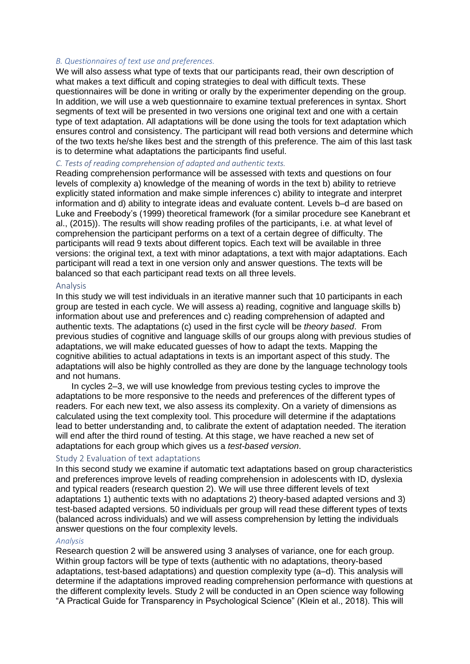#### *B. Questionnaires of text use and preferences.*

We will also assess what type of texts that our participants read, their own description of what makes a text difficult and coping strategies to deal with difficult texts. These questionnaires will be done in writing or orally by the experimenter depending on the group. In addition, we will use a web questionnaire to examine textual preferences in syntax. Short segments of text will be presented in two versions one original text and one with a certain type of text adaptation. All adaptations will be done using the tools for text adaptation which ensures control and consistency. The participant will read both versions and determine which of the two texts he/she likes best and the strength of this preference. The aim of this last task is to determine what adaptations the participants find useful.

#### *C. Tests of reading comprehension of adapted and authentic texts.*

Reading comprehension performance will be assessed with texts and questions on four levels of complexity a) knowledge of the meaning of words in the text b) ability to retrieve explicitly stated information and make simple inferences c) ability to integrate and interpret information and d) ability to integrate ideas and evaluate content. Levels b–d are based on Luke and Freebody's (1999) theoretical framework (for a similar procedure see Kanebrant et al., (2015)). The results will show reading profiles of the participants, i.e. at what level of comprehension the participant performs on a text of a certain degree of difficulty. The participants will read 9 texts about different topics. Each text will be available in three versions: the original text, a text with minor adaptations, a text with major adaptations. Each participant will read a text in one version only and answer questions. The texts will be balanced so that each participant read texts on all three levels.

#### Analysis

In this study we will test individuals in an iterative manner such that 10 participants in each group are tested in each cycle. We will assess a) reading, cognitive and language skills b) information about use and preferences and c) reading comprehension of adapted and authentic texts. The adaptations (c) used in the first cycle will be *theory based*. From previous studies of cognitive and language skills of our groups along with previous studies of adaptations, we will make educated guesses of how to adapt the texts. Mapping the cognitive abilities to actual adaptations in texts is an important aspect of this study. The adaptations will also be highly controlled as they are done by the language technology tools and not humans.

In cycles 2–3, we will use knowledge from previous testing cycles to improve the adaptations to be more responsive to the needs and preferences of the different types of readers. For each new text, we also assess its complexity. On a variety of dimensions as calculated using the text complexity tool. This procedure will determine if the adaptations lead to better understanding and, to calibrate the extent of adaptation needed. The iteration will end after the third round of testing. At this stage, we have reached a new set of adaptations for each group which gives us a *test-based version*.

#### Study 2 Evaluation of text adaptations

In this second study we examine if automatic text adaptations based on group characteristics and preferences improve levels of reading comprehension in adolescents with ID, dyslexia and typical readers (research question 2). We will use three different levels of text adaptations 1) authentic texts with no adaptations 2) theory-based adapted versions and 3) test-based adapted versions. 50 individuals per group will read these different types of texts (balanced across individuals) and we will assess comprehension by letting the individuals answer questions on the four complexity levels.

#### *Analysis*

Research question 2 will be answered using 3 analyses of variance, one for each group. Within group factors will be type of texts (authentic with no adaptations, theory-based adaptations, test-based adaptations) and question complexity type (a–d). This analysis will determine if the adaptations improved reading comprehension performance with questions at the different complexity levels. Study 2 will be conducted in an Open science way following "A Practical Guide for Transparency in Psychological Science" (Klein et al., 2018). This will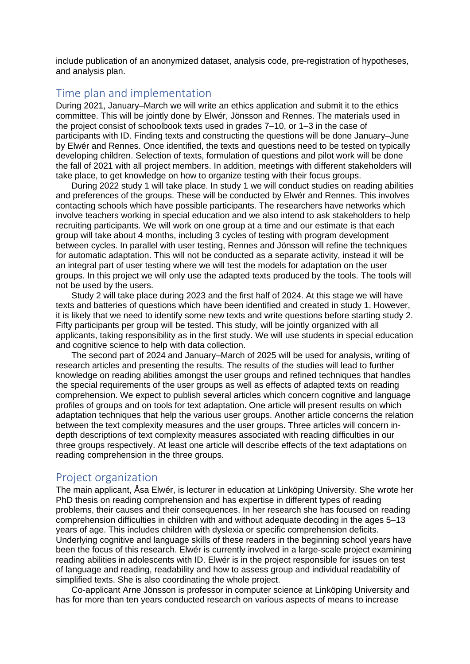include publication of an anonymized dataset, analysis code, pre-registration of hypotheses, and analysis plan.

## Time plan and implementation

During 2021, January–March we will write an ethics application and submit it to the ethics committee. This will be jointly done by Elwér, Jönsson and Rennes. The materials used in the project consist of schoolbook texts used in grades 7–10, or 1–3 in the case of participants with ID. Finding texts and constructing the questions will be done January–June by Elwér and Rennes. Once identified, the texts and questions need to be tested on typically developing children. Selection of texts, formulation of questions and pilot work will be done the fall of 2021 with all project members. In addition, meetings with different stakeholders will take place, to get knowledge on how to organize testing with their focus groups.

During 2022 study 1 will take place. In study 1 we will conduct studies on reading abilities and preferences of the groups. These will be conducted by Elwér and Rennes. This involves contacting schools which have possible participants. The researchers have networks which involve teachers working in special education and we also intend to ask stakeholders to help recruiting participants. We will work on one group at a time and our estimate is that each group will take about 4 months, including 3 cycles of testing with program development between cycles. In parallel with user testing, Rennes and Jönsson will refine the techniques for automatic adaptation. This will not be conducted as a separate activity, instead it will be an integral part of user testing where we will test the models for adaptation on the user groups. In this project we will only use the adapted texts produced by the tools. The tools will not be used by the users.

Study 2 will take place during 2023 and the first half of 2024. At this stage we will have texts and batteries of questions which have been identified and created in study 1. However, it is likely that we need to identify some new texts and write questions before starting study 2. Fifty participants per group will be tested. This study, will be jointly organized with all applicants, taking responsibility as in the first study. We will use students in special education and cognitive science to help with data collection.

The second part of 2024 and January–March of 2025 will be used for analysis, writing of research articles and presenting the results. The results of the studies will lead to further knowledge on reading abilities amongst the user groups and refined techniques that handles the special requirements of the user groups as well as effects of adapted texts on reading comprehension. We expect to publish several articles which concern cognitive and language profiles of groups and on tools for text adaptation. One article will present results on which adaptation techniques that help the various user groups. Another article concerns the relation between the text complexity measures and the user groups. Three articles will concern indepth descriptions of text complexity measures associated with reading difficulties in our three groups respectively. At least one article will describe effects of the text adaptations on reading comprehension in the three groups.

## Project organization

The main applicant, Åsa Elwér, is lecturer in education at Linköping University. She wrote her PhD thesis on reading comprehension and has expertise in different types of reading problems, their causes and their consequences. In her research she has focused on reading comprehension difficulties in children with and without adequate decoding in the ages 5–13 years of age. This includes children with dyslexia or specific comprehension deficits. Underlying cognitive and language skills of these readers in the beginning school years have been the focus of this research. Elwér is currently involved in a large-scale project examining reading abilities in adolescents with ID. Elwér is in the project responsible for issues on test of language and reading, readability and how to assess group and individual readability of simplified texts. She is also coordinating the whole project.

Co-applicant Arne Jönsson is professor in computer science at Linköping University and has for more than ten years conducted research on various aspects of means to increase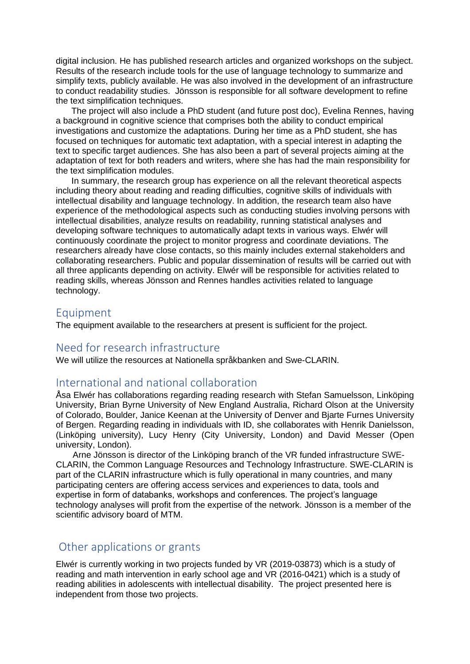digital inclusion. He has published research articles and organized workshops on the subject. Results of the research include tools for the use of language technology to summarize and simplify texts, publicly available. He was also involved in the development of an infrastructure to conduct readability studies. Jönsson is responsible for all software development to refine the text simplification techniques.

The project will also include a PhD student (and future post doc), Evelina Rennes, having a background in cognitive science that comprises both the ability to conduct empirical investigations and customize the adaptations. During her time as a PhD student, she has focused on techniques for automatic text adaptation, with a special interest in adapting the text to specific target audiences. She has also been a part of several projects aiming at the adaptation of text for both readers and writers, where she has had the main responsibility for the text simplification modules.

In summary, the research group has experience on all the relevant theoretical aspects including theory about reading and reading difficulties, cognitive skills of individuals with intellectual disability and language technology. In addition, the research team also have experience of the methodological aspects such as conducting studies involving persons with intellectual disabilities, analyze results on readability, running statistical analyses and developing software techniques to automatically adapt texts in various ways. Elwér will continuously coordinate the project to monitor progress and coordinate deviations. The researchers already have close contacts, so this mainly includes external stakeholders and collaborating researchers. Public and popular dissemination of results will be carried out with all three applicants depending on activity. Elwér will be responsible for activities related to reading skills, whereas Jönsson and Rennes handles activities related to language technology.

### Equipment

The equipment available to the researchers at present is sufficient for the project.

### Need for research infrastructure

We will utilize the resources at Nationella språkbanken and Swe-CLARIN.

## International and national collaboration

Åsa Elwér has collaborations regarding reading research with Stefan Samuelsson, Linköping University, Brian Byrne University of New England Australia, Richard Olson at the University of Colorado, Boulder, Janice Keenan at the University of Denver and Bjarte Furnes University of Bergen. Regarding reading in individuals with ID, she collaborates with Henrik Danielsson, (Linköping university), Lucy Henry (City University, London) and David Messer (Open university, London).

Arne Jönsson is director of the Linköping branch of the VR funded infrastructure SWE-CLARIN, the Common Language Resources and Technology Infrastructure. SWE-CLARIN is part of the CLARIN infrastructure which is fully operational in many countries, and many participating centers are offering access services and experiences to data, tools and expertise in form of databanks, workshops and conferences. The project's language technology analyses will profit from the expertise of the network. Jönsson is a member of the scientific advisory board of MTM.

## Other applications or grants

Elwér is currently working in two projects funded by VR (2019-03873) which is a study of reading and math intervention in early school age and VR (2016-0421) which is a study of reading abilities in adolescents with intellectual disability. The project presented here is independent from those two projects.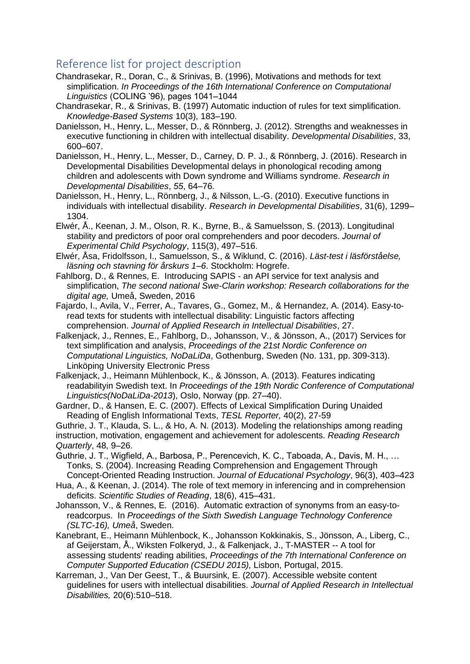# Reference list for project description

- Chandrasekar, R., Doran, C., & Srinivas, B. (1996), Motivations and methods for text simplification. *In Proceedings of the 16th International Conference on Computational Linguistics* (COLING '96), pages 1041–1044
- Chandrasekar, R., & Srinivas, B. (1997) Automatic induction of rules for text simplification. *Knowledge-Based Systems* 10(3), 183–190.
- Danielsson, H., Henry, L., Messer, D., & Rönnberg, J. (2012). Strengths and weaknesses in executive functioning in children with intellectual disability. *Developmental Disabilities*, 33, 600–607.
- Danielsson, H., Henry, L., Messer, D., Carney, D. P. J., & Rönnberg, J. (2016). Research in Developmental Disabilities Developmental delays in phonological recoding among children and adolescents with Down syndrome and Williams syndrome. *Research in Developmental Disabilities*, *55*, 64–76.
- Danielsson, H., Henry, L., Rönnberg, J., & Nilsson, L.-G. (2010). Executive functions in individuals with intellectual disability. *Research in Developmental Disabilities*, 31(6), 1299– 1304.
- Elwér, Å., Keenan, J. M., Olson, R. K., Byrne, B., & Samuelsson, S. (2013). Longitudinal stability and predictors of poor oral comprehenders and poor decoders. *Journal of Experimental Child Psychology*, 115(3), 497–516.
- Elwér, Åsa, Fridolfsson, I., Samuelsson, S., & Wiklund, C. (2016). *Läst-test i läsförståelse, läsning och stavning för årskurs 1–6*. Stockholm: Hogrefe.
- Fahlborg, D., & Rennes, E. Introducing SAPIS an API service for text analysis and simplification, *The second national Swe-Clarin workshop: Research collaborations for the digital age,* Umeå, Sweden, 2016
- Fajardo, I., Avila, V., Ferrer, A., Tavares, G., Gomez, M., & Hernandez, A. (2014). Easy-toread texts for students with intellectual disability: Linguistic factors affecting comprehension. *Journal of Applied Research in Intellectual Disabilities*, 27.
- Falkenjack, J., Rennes, E., Fahlborg, D., Johansson, V., & Jönsson, A., (2017) Services for text simplification and analysis, *Proceedings of the 21st Nordic Conference on Computational Linguistics, NoDaLiDa*, Gothenburg, Sweden (No. 131, pp. 309-313). Linköping University Electronic Press
- Falkenjack, J., Heimann Mühlenbock, K., & Jönsson, A. (2013). Features indicating readabilityin Swedish text. In *Proceedings of the 19th Nordic Conference of Computational Linguistics(NoDaLiDa-2013*), Oslo, Norway (pp. 27–40).
- Gardner, D., & Hansen, E. C. (2007). Effects of Lexical Simplification During Unaided Reading of English Informational Texts, *TESL Reporter,* 40(2), 27-59
- Guthrie, J. T., Klauda, S. L., & Ho, A. N. (2013). Modeling the relationships among reading instruction, motivation, engagement and achievement for adolescents. *Reading Research Quarterly*, 48, 9–26.
- Guthrie, J. T., Wigfield, A., Barbosa, P., Perencevich, K. C., Taboada, A., Davis, M. H., … Tonks, S. (2004). Increasing Reading Comprehension and Engagement Through Concept-Oriented Reading Instruction. *Journal of Educational Psychology*, 96(3), 403–423
- Hua, A., & Keenan, J. (2014). The role of text memory in inferencing and in comprehension deficits. *Scientific Studies of Reading*, 18(6), 415–431.
- Johansson, V., & Rennes, E. (2016). Automatic extraction of synonyms from an easy-toreadcorpus. In *Proceedings of the Sixth Swedish Language Technology Conference (SLTC-16), Umeå*, Sweden.
- Kanebrant, E., Heimann Mühlenbock, K., Johansson Kokkinakis, S., Jönsson, A., Liberg, C., af Geijerstam, Å., Wiksten Folkeryd, J., & Falkenjack, J., T-MASTER -- A tool for assessing students' reading abilities, *Proceedings of the 7th International Conference on Computer Supported Education (CSEDU 2015),* Lisbon, Portugal, 2015.
- Karreman, J., Van Der Geest, T., & Buursink, E. (2007). Accessible website content guidelines for users with intellectual disabilities. *Journal of Applied Research in Intellectual Disabilities,* 20(6):510–518.